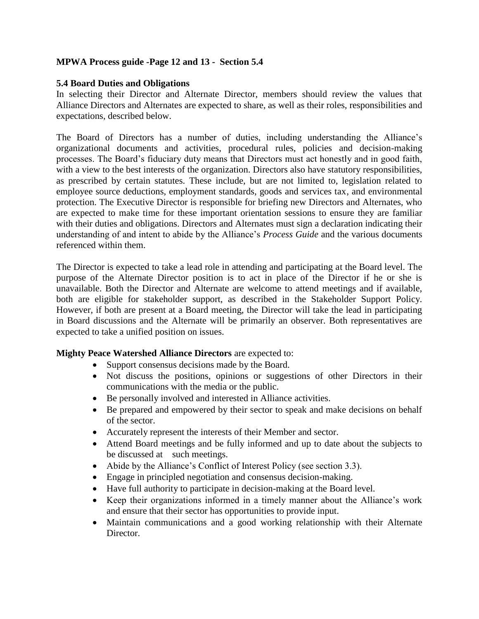## **MPWA Process guide -Page 12 and 13 - Section 5.4**

## **5.4 Board Duties and Obligations**

In selecting their Director and Alternate Director, members should review the values that Alliance Directors and Alternates are expected to share, as well as their roles, responsibilities and expectations, described below.

The Board of Directors has a number of duties, including understanding the Alliance's organizational documents and activities, procedural rules, policies and decision-making processes. The Board's fiduciary duty means that Directors must act honestly and in good faith, with a view to the best interests of the organization. Directors also have statutory responsibilities, as prescribed by certain statutes. These include, but are not limited to, legislation related to employee source deductions, employment standards, goods and services tax, and environmental protection. The Executive Director is responsible for briefing new Directors and Alternates, who are expected to make time for these important orientation sessions to ensure they are familiar with their duties and obligations. Directors and Alternates must sign a declaration indicating their understanding of and intent to abide by the Alliance's *Process Guide* and the various documents referenced within them.

The Director is expected to take a lead role in attending and participating at the Board level. The purpose of the Alternate Director position is to act in place of the Director if he or she is unavailable. Both the Director and Alternate are welcome to attend meetings and if available, both are eligible for stakeholder support, as described in the Stakeholder Support Policy. However, if both are present at a Board meeting, the Director will take the lead in participating in Board discussions and the Alternate will be primarily an observer. Both representatives are expected to take a unified position on issues.

## **Mighty Peace Watershed Alliance Directors** are expected to:

- Support consensus decisions made by the Board.
- Not discuss the positions, opinions or suggestions of other Directors in their communications with the media or the public.
- Be personally involved and interested in Alliance activities.
- Be prepared and empowered by their sector to speak and make decisions on behalf of the sector.
- Accurately represent the interests of their Member and sector.
- Attend Board meetings and be fully informed and up to date about the subjects to be discussed at such meetings.
- Abide by the Alliance's Conflict of Interest Policy (see section 3.3).
- Engage in principled negotiation and consensus decision-making.
- Have full authority to participate in decision-making at the Board level.
- Keep their organizations informed in a timely manner about the Alliance's work and ensure that their sector has opportunities to provide input.
- Maintain communications and a good working relationship with their Alternate Director.